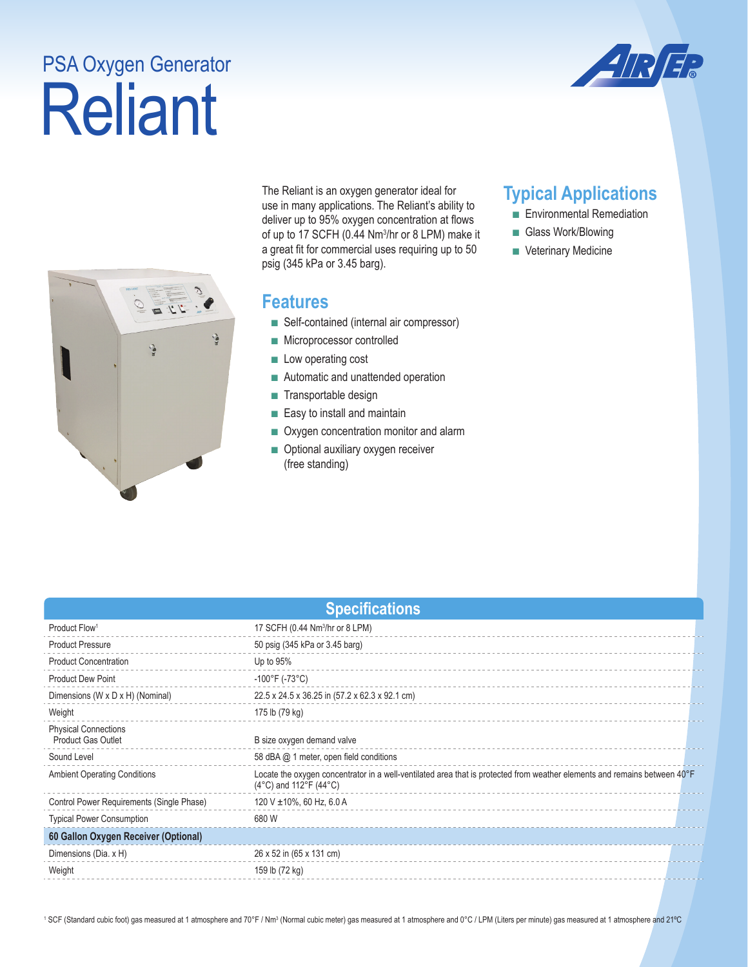## Reliant PSA Oxygen Generator





The Reliant is an oxygen generator ideal for use in many applications. The Reliant's ability to deliver up to 95% oxygen concentration at flows of up to 17 SCFH (0.44 Nm<sup>3</sup>/hr or 8 LPM) make it a great fit for commercial uses requiring up to 50 psig (345 kPa or 3.45 barg).

## **Features**

- Self-contained (internal air compressor)
- Microprocessor controlled
- Low operating cost
- Automatic and unattended operation
- Transportable design
- Easy to install and maintain
- Oxygen concentration monitor and alarm
- Optional auxiliary oxygen receiver (free standing)

## **Typical Applications**

- Environmental Remediation
- Glass Work/Blowing
- Veterinary Medicine

| <b>Specifications</b>                                    |                                                                                                                                                                       |  |  |  |
|----------------------------------------------------------|-----------------------------------------------------------------------------------------------------------------------------------------------------------------------|--|--|--|
| Product Flow <sup>1</sup>                                | 17 SCFH (0.44 Nm <sup>3</sup> /hr or 8 LPM)                                                                                                                           |  |  |  |
| <b>Product Pressure</b>                                  | 50 psig (345 kPa or 3.45 barg)                                                                                                                                        |  |  |  |
| <b>Product Concentration</b>                             | Up to $95%$                                                                                                                                                           |  |  |  |
| <b>Product Dew Point</b>                                 | $-100^{\circ}$ F (-73 $^{\circ}$ C)                                                                                                                                   |  |  |  |
| Dimensions (W x D x H) (Nominal)                         | 22.5 x 24.5 x 36.25 in (57.2 x 62.3 x 92.1 cm)                                                                                                                        |  |  |  |
| Weight                                                   | 175 lb (79 kg)                                                                                                                                                        |  |  |  |
| <b>Physical Connections</b><br><b>Product Gas Outlet</b> | B size oxygen demand valve                                                                                                                                            |  |  |  |
| Sound Level                                              | 58 dBA @ 1 meter, open field conditions                                                                                                                               |  |  |  |
| <b>Ambient Operating Conditions</b>                      | Locate the oxygen concentrator in a well-ventilated area that is protected from weather elements and remains between 40°F<br>$(4^{\circ}C)$ and 112°F $(44^{\circ}C)$ |  |  |  |
| Control Power Requirements (Single Phase)                | 120 V $\pm$ 10%, 60 Hz, 6.0 A                                                                                                                                         |  |  |  |
| <b>Typical Power Consumption</b>                         | 680 W                                                                                                                                                                 |  |  |  |
| 60 Gallon Oxygen Receiver (Optional)                     |                                                                                                                                                                       |  |  |  |
| Dimensions (Dia. x H)                                    | 26 x 52 in (65 x 131 cm)                                                                                                                                              |  |  |  |
| Weight                                                   | 159 lb (72 kg)                                                                                                                                                        |  |  |  |

<sup>1</sup> SCF (Standard cubic foot) gas measured at 1 atmosphere and 70°F / Nm3 (Normal cubic meter) gas measured at 1 atmosphere and per minute) gas measured at 1 atmosphere and 21℃